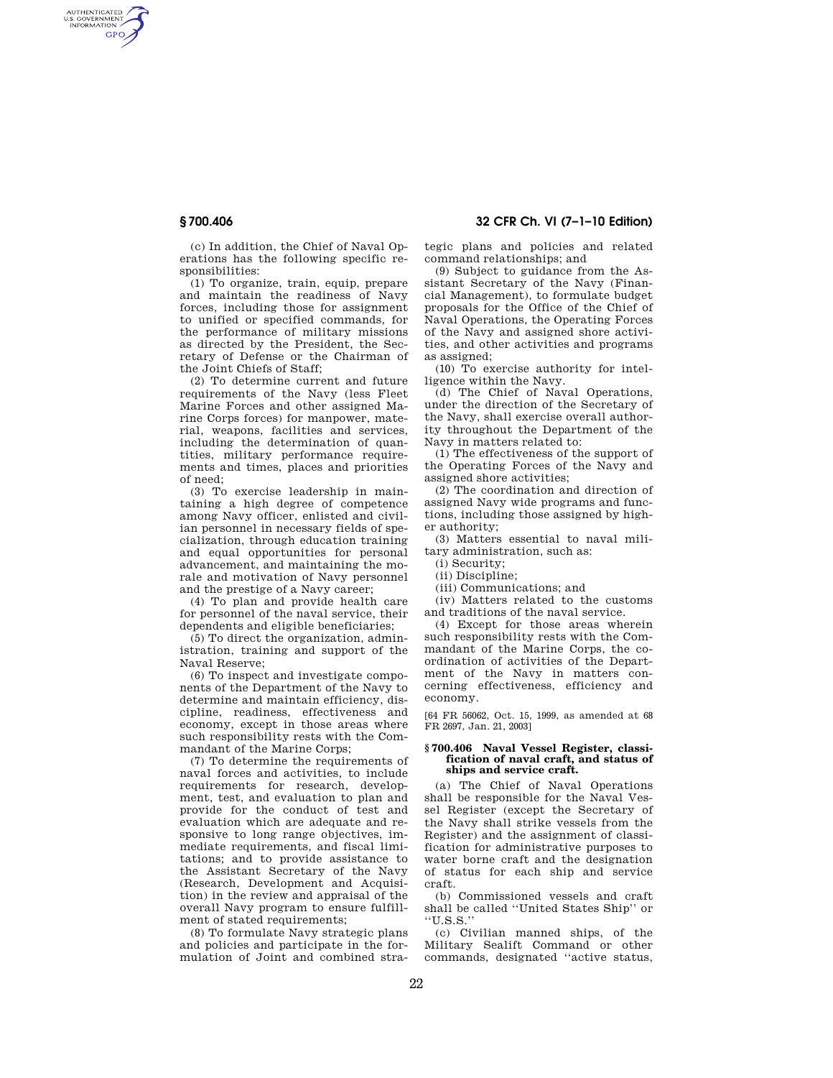AUTHENTICATED<br>U.S. GOVERNMENT<br>INFORMATION **GPO** 

**§ 700.406 32 CFR Ch. VI (7–1–10 Edition)** 

(c) In addition, the Chief of Naval Operations has the following specific responsibilities:

(1) To organize, train, equip, prepare and maintain the readiness of Navy forces, including those for assignment to unified or specified commands, for the performance of military missions as directed by the President, the Secretary of Defense or the Chairman of the Joint Chiefs of Staff;

(2) To determine current and future requirements of the Navy (less Fleet Marine Forces and other assigned Marine Corps forces) for manpower, material, weapons, facilities and services, including the determination of quantities, military performance requirements and times, places and priorities of need;

(3) To exercise leadership in maintaining a high degree of competence among Navy officer, enlisted and civilian personnel in necessary fields of specialization, through education training and equal opportunities for personal advancement, and maintaining the morale and motivation of Navy personnel and the prestige of a Navy career;

(4) To plan and provide health care for personnel of the naval service, their dependents and eligible beneficiaries;

(5) To direct the organization, administration, training and support of the Naval Reserve;

(6) To inspect and investigate components of the Department of the Navy to determine and maintain efficiency, discipline, readiness, effectiveness and economy, except in those areas where such responsibility rests with the Commandant of the Marine Corps;

(7) To determine the requirements of naval forces and activities, to include requirements for research, development, test, and evaluation to plan and provide for the conduct of test and evaluation which are adequate and responsive to long range objectives, immediate requirements, and fiscal limitations; and to provide assistance to the Assistant Secretary of the Navy (Research, Development and Acquisition) in the review and appraisal of the overall Navy program to ensure fulfillment of stated requirements;

(8) To formulate Navy strategic plans and policies and participate in the formulation of Joint and combined strategic plans and policies and related command relationships; and

(9) Subject to guidance from the Assistant Secretary of the Navy (Financial Management), to formulate budget proposals for the Office of the Chief of Naval Operations, the Operating Forces of the Navy and assigned shore activities, and other activities and programs as assigned;

(10) To exercise authority for intelligence within the Navy.

(d) The Chief of Naval Operations, under the direction of the Secretary of the Navy, shall exercise overall authority throughout the Department of the Navy in matters related to:

(1) The effectiveness of the support of the Operating Forces of the Navy and assigned shore activities;

(2) The coordination and direction of assigned Navy wide programs and functions, including those assigned by higher authority;

(3) Matters essential to naval military administration, such as:

(i) Security;

- (ii) Discipline;
- (iii) Communications; and

(iv) Matters related to the customs and traditions of the naval service.

(4) Except for those areas wherein such responsibility rests with the Commandant of the Marine Corps, the coordination of activities of the Department of the Navy in matters concerning effectiveness, efficiency and economy.

[64 FR 56062, Oct. 15, 1999, as amended at 68 FR 2697, Jan. 21, 2003]

#### **§ 700.406 Naval Vessel Register, classification of naval craft, and status of ships and service craft.**

(a) The Chief of Naval Operations shall be responsible for the Naval Vessel Register (except the Secretary of the Navy shall strike vessels from the Register) and the assignment of classification for administrative purposes to water borne craft and the designation of status for each ship and service craft.

(b) Commissioned vessels and craft shall be called ''United States Ship'' or ''U.S.S.''

(c) Civilian manned ships, of the Military Sealift Command or other commands, designated ''active status,